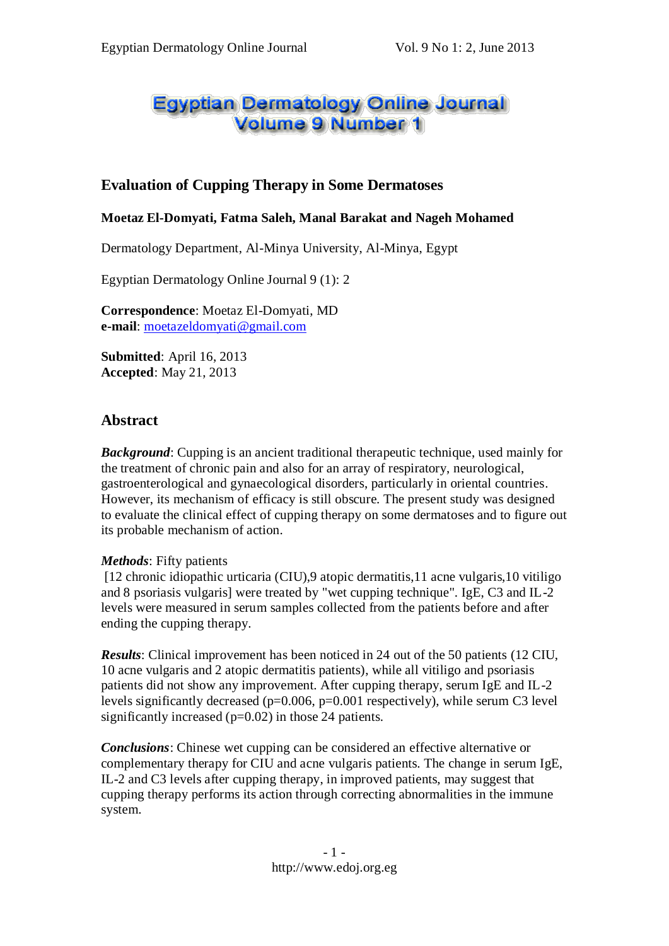# Egyptian Dermatology Online Journal **Volume 9 Number 1**

# **Evaluation of Cupping Therapy in Some Dermatoses**

#### **Moetaz El-Domyati, Fatma Saleh, Manal Barakat and Nageh Mohamed**

Dermatology Department, Al-Minya University, Al-Minya, Egypt

Egyptian Dermatology Online Journal 9 (1): 2

**Correspondence**: Moetaz El-Domyati, MD **e-mail**: [moetazeldomyati@gmail.com](mailto:moetazeldomyati@gmail.com)

**Submitted**: April 16, 2013 **Accepted**: May 21, 2013

## **Abstract**

*Background*: Cupping is an ancient traditional therapeutic technique, used mainly for the treatment of chronic pain and also for an array of respiratory, neurological, gastroenterological and gynaecological disorders, particularly in oriental countries. However, its mechanism of efficacy is still obscure. The present study was designed to evaluate the clinical effect of cupping therapy on some dermatoses and to figure out its probable mechanism of action.

#### *Methods*: Fifty patients

[12 chronic idiopathic urticaria (CIU),9 atopic dermatitis,11 acne vulgaris,10 vitiligo and 8 psoriasis vulgaris] were treated by "wet cupping technique". IgE, C3 and IL-2 levels were measured in serum samples collected from the patients before and after ending the cupping therapy.

*Results*: Clinical improvement has been noticed in 24 out of the 50 patients (12 CIU, 10 acne vulgaris and 2 atopic dermatitis patients), while all vitiligo and psoriasis patients did not show any improvement. After cupping therapy, serum IgE and IL-2 levels significantly decreased (p=0.006, p=0.001 respectively), while serum C3 level significantly increased (p=0.02) in those 24 patients.

*Conclusions*: Chinese wet cupping can be considered an effective alternative or complementary therapy for CIU and acne vulgaris patients. The change in serum IgE, IL-2 and C3 levels after cupping therapy, in improved patients, may suggest that cupping therapy performs its action through correcting abnormalities in the immune system.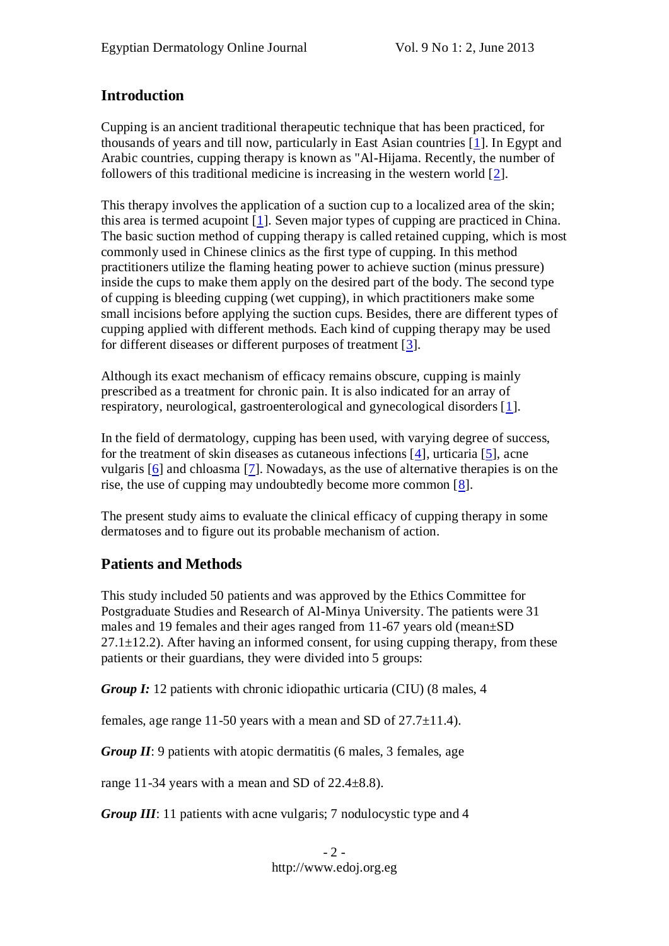# **Introduction**

Cupping is an ancient traditional therapeutic technique that has been practiced, for thousands of years and till now, particularly in East Asian countries [\[1\]](file:///D:/Medical/edoj/vol009/0901/002/01.htm%231). In Egypt and Arabic countries, cupping therapy is known as "Al-Hijama. Recently, the number of followers of this traditional medicine is increasing in the western world [\[2\]](file:///D:/Medical/edoj/vol009/0901/002/01.htm%232).

This therapy involves the application of a suction cup to a localized area of the skin; this area is termed acupoint [\[1\]](file:///D:/Medical/edoj/vol009/0901/002/01.htm%231). Seven major types of cupping are practiced in China. The basic suction method of cupping therapy is called retained cupping, which is most commonly used in Chinese clinics as the first type of cupping. In this method practitioners utilize the flaming heating power to achieve suction (minus pressure) inside the cups to make them apply on the desired part of the body. The second type of cupping is bleeding cupping (wet cupping), in which practitioners make some small incisions before applying the suction cups. Besides, there are different types of cupping applied with different methods. Each kind of cupping therapy may be used for different diseases or different purposes of treatment [\[3\]](file:///D:/Medical/edoj/vol009/0901/002/01.htm%233).

Although its exact mechanism of efficacy remains obscure, cupping is mainly prescribed as a treatment for chronic pain. It is also indicated for an array of respiratory, neurological, gastroenterological and gynecological disorders [\[1\]](file:///D:/Medical/edoj/vol009/0901/002/01.htm%231).

In the field of dermatology, cupping has been used, with varying degree of success, for the treatment of skin diseases as cutaneous infections [\[4\]](file:///D:/Medical/edoj/vol009/0901/002/01.htm%234), urticaria [\[5\]](file:///D:/Medical/edoj/vol009/0901/002/01.htm%235), acne vulgaris [\[6\]](file:///D:/Medical/edoj/vol009/0901/002/01.htm%236) and chloasma [\[7\]](file:///D:/Medical/edoj/vol009/0901/002/01.htm%237). Nowadays, as the use of alternative therapies is on the rise, the use of cupping may undoubtedly become more common [\[8\]](file:///D:/Medical/edoj/vol009/0901/002/01.htm%238).

The present study aims to evaluate the clinical efficacy of cupping therapy in some dermatoses and to figure out its probable mechanism of action.

# **Patients and Methods**

This study included 50 patients and was approved by the Ethics Committee for Postgraduate Studies and Research of Al-Minya University. The patients were 31 males and 19 females and their ages ranged from 11-67 years old (mean±SD  $27.1 \pm 12.2$ ). After having an informed consent, for using cupping therapy, from these patients or their guardians, they were divided into 5 groups:

*Group I:* 12 patients with chronic idiopathic urticaria (CIU) (8 males, 4

females, age range 11-50 years with a mean and SD of 27.7±11.4).

*Group II*: 9 patients with atopic dermatitis (6 males, 3 females, age

range 11-34 years with a mean and SD of  $22.4\pm8.8$ ).

*Group III*: 11 patients with acne vulgaris; 7 nodulocystic type and 4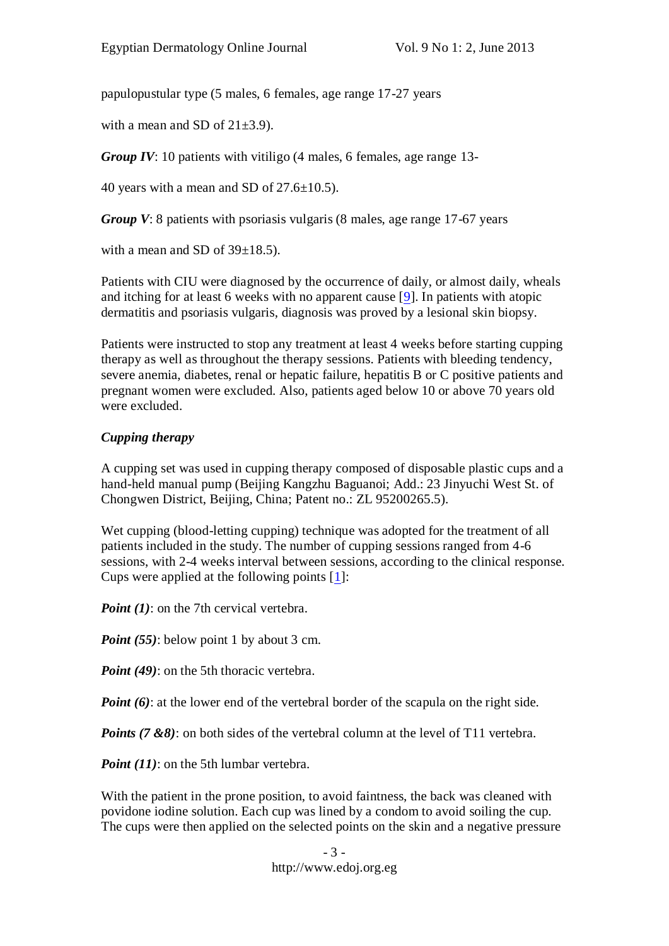papulopustular type (5 males, 6 females, age range 17-27 years

with a mean and SD of  $21\pm3.9$ ).

*Group IV*: 10 patients with vitiligo (4 males, 6 females, age range 13-

40 years with a mean and SD of  $27.6 \pm 10.5$ ).

*Group V*: 8 patients with psoriasis vulgaris (8 males, age range 17-67 years)

with a mean and SD of  $39\pm18.5$ ).

Patients with CIU were diagnosed by the occurrence of daily, or almost daily, wheals and itching for at least 6 weeks with no apparent cause [\[9\]](file:///D:/Medical/edoj/vol009/0901/002/01.htm%239). In patients with atopic dermatitis and psoriasis vulgaris, diagnosis was proved by a lesional skin biopsy.

Patients were instructed to stop any treatment at least 4 weeks before starting cupping therapy as well as throughout the therapy sessions. Patients with bleeding tendency, severe anemia, diabetes, renal or hepatic failure, hepatitis B or C positive patients and pregnant women were excluded. Also, patients aged below 10 or above 70 years old were excluded.

#### *Cupping therapy*

A cupping set was used in cupping therapy composed of disposable plastic cups and a hand-held manual pump (Beijing Kangzhu Baguanoi; Add.: 23 Jinyuchi West St. of Chongwen District, Beijing, China; Patent no.: ZL 95200265.5).

Wet cupping (blood-letting cupping) technique was adopted for the treatment of all patients included in the study. The number of cupping sessions ranged from 4-6 sessions, with 2-4 weeks interval between sessions, according to the clinical response. Cups were applied at the following points [\[1\]](file:///D:/Medical/edoj/vol009/0901/002/01.htm%231):

*Point (1)*: on the 7th cervical vertebra.

*Point* (55): below point 1 by about 3 cm.

*Point (49)*: on the 5th thoracic vertebra.

*Point* (6): at the lower end of the vertebral border of the scapula on the right side.

*Points (7 &8)*: on both sides of the vertebral column at the level of T11 vertebra.

*Point (11)*: on the 5th lumbar vertebra.

With the patient in the prone position, to avoid faintness, the back was cleaned with povidone iodine solution. Each cup was lined by a condom to avoid soiling the cup. The cups were then applied on the selected points on the skin and a negative pressure

> - 3 http://www.edoj.org.eg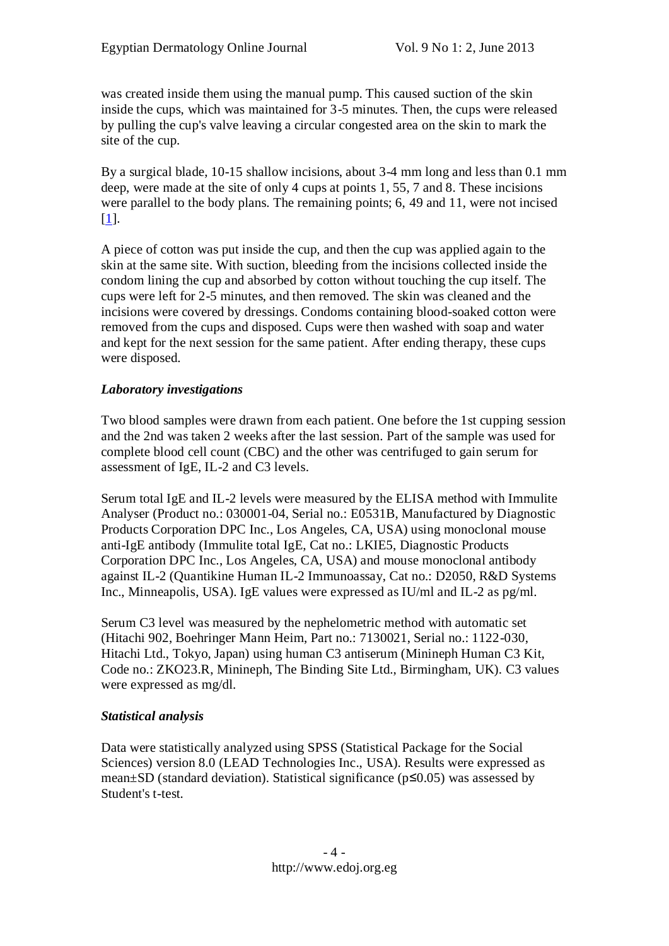was created inside them using the manual pump. This caused suction of the skin inside the cups, which was maintained for 3-5 minutes. Then, the cups were released by pulling the cup's valve leaving a circular congested area on the skin to mark the site of the cup.

By a surgical blade, 10-15 shallow incisions, about 3-4 mm long and less than 0.1 mm deep, were made at the site of only 4 cups at points 1, 55, 7 and 8. These incisions were parallel to the body plans. The remaining points; 6, 49 and 11, were not incised [\[1\]](file:///D:/Medical/edoj/vol009/0901/002/01.htm%231).

A piece of cotton was put inside the cup, and then the cup was applied again to the skin at the same site. With suction, bleeding from the incisions collected inside the condom lining the cup and absorbed by cotton without touching the cup itself. The cups were left for 2-5 minutes, and then removed. The skin was cleaned and the incisions were covered by dressings. Condoms containing blood-soaked cotton were removed from the cups and disposed. Cups were then washed with soap and water and kept for the next session for the same patient. After ending therapy, these cups were disposed.

#### *Laboratory investigations*

Two blood samples were drawn from each patient. One before the 1st cupping session and the 2nd was taken 2 weeks after the last session. Part of the sample was used for complete blood cell count (CBC) and the other was centrifuged to gain serum for assessment of IgE, IL-2 and C3 levels.

Serum total IgE and IL-2 levels were measured by the ELISA method with Immulite Analyser (Product no.: 030001-04, Serial no.: E0531B, Manufactured by Diagnostic Products Corporation DPC Inc., Los Angeles, CA, USA) using monoclonal mouse anti-IgE antibody (Immulite total IgE, Cat no.: LKIE5, Diagnostic Products Corporation DPC Inc., Los Angeles, CA, USA) and mouse monoclonal antibody against IL-2 (Quantikine Human IL-2 Immunoassay, Cat no.: D2050, R&D Systems Inc., Minneapolis, USA). IgE values were expressed as IU/ml and IL-2 as pg/ml.

Serum C3 level was measured by the nephelometric method with automatic set (Hitachi 902, Boehringer Mann Heim, Part no.: 7130021, Serial no.: 1122-030, Hitachi Ltd., Tokyo, Japan) using human C3 antiserum (Minineph Human C3 Kit, Code no.: ZKO23.R, Minineph, The Binding Site Ltd., Birmingham, UK). C3 values were expressed as mg/dl.

#### *Statistical analysis*

Data were statistically analyzed using SPSS (Statistical Package for the Social Sciences) version 8.0 (LEAD Technologies Inc., USA). Results were expressed as mean±SD (standard deviation). Statistical significance (p≤0.05) was assessed by Student's t-test.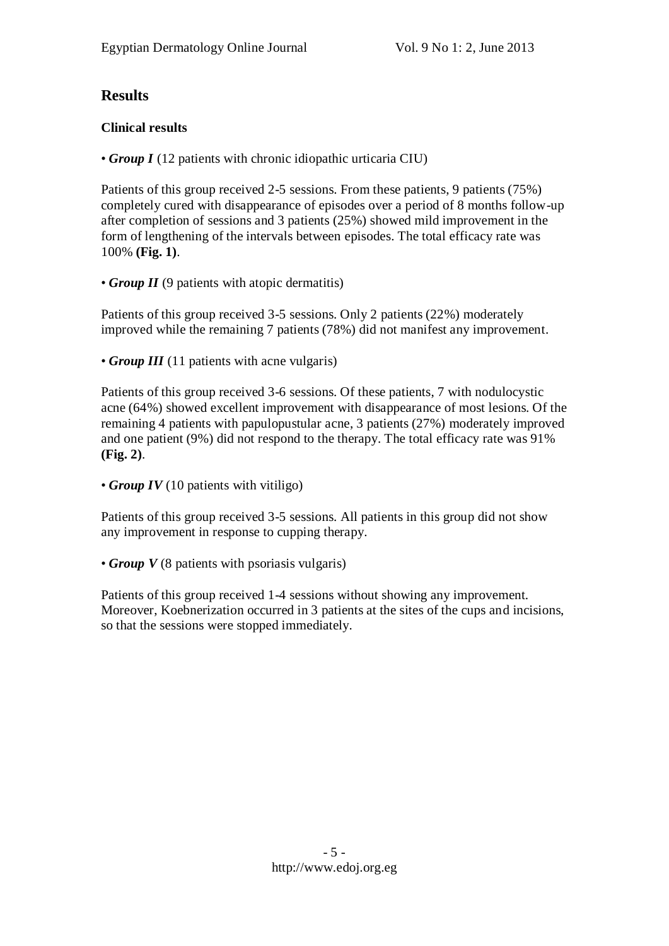# **Results**

## **Clinical results**

• *Group I* (12 patients with chronic idiopathic urticaria CIU)

Patients of this group received 2-5 sessions. From these patients, 9 patients (75%) completely cured with disappearance of episodes over a period of 8 months follow-up after completion of sessions and 3 patients (25%) showed mild improvement in the form of lengthening of the intervals between episodes. The total efficacy rate was 100% **(Fig. 1)**.

• *Group II* (9 patients with atopic dermatitis)

Patients of this group received 3-5 sessions. Only 2 patients (22%) moderately improved while the remaining 7 patients (78%) did not manifest any improvement.

• *Group III* (11 patients with acne vulgaris)

Patients of this group received 3-6 sessions. Of these patients, 7 with nodulocystic acne (64%) showed excellent improvement with disappearance of most lesions. Of the remaining 4 patients with papulopustular acne, 3 patients (27%) moderately improved and one patient (9%) did not respond to the therapy. The total efficacy rate was 91% **(Fig. 2)**.

```
• Group IV (10 patients with vitiligo)
```
Patients of this group received 3-5 sessions. All patients in this group did not show any improvement in response to cupping therapy.

• *Group V* (8 patients with psoriasis vulgaris)

Patients of this group received 1-4 sessions without showing any improvement. Moreover, Koebnerization occurred in 3 patients at the sites of the cups and incisions, so that the sessions were stopped immediately.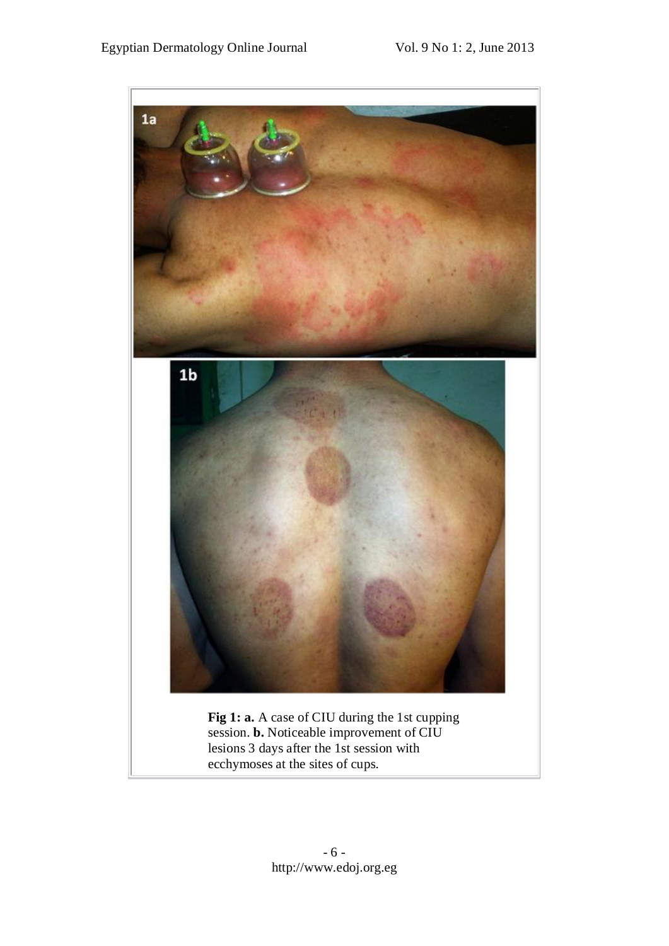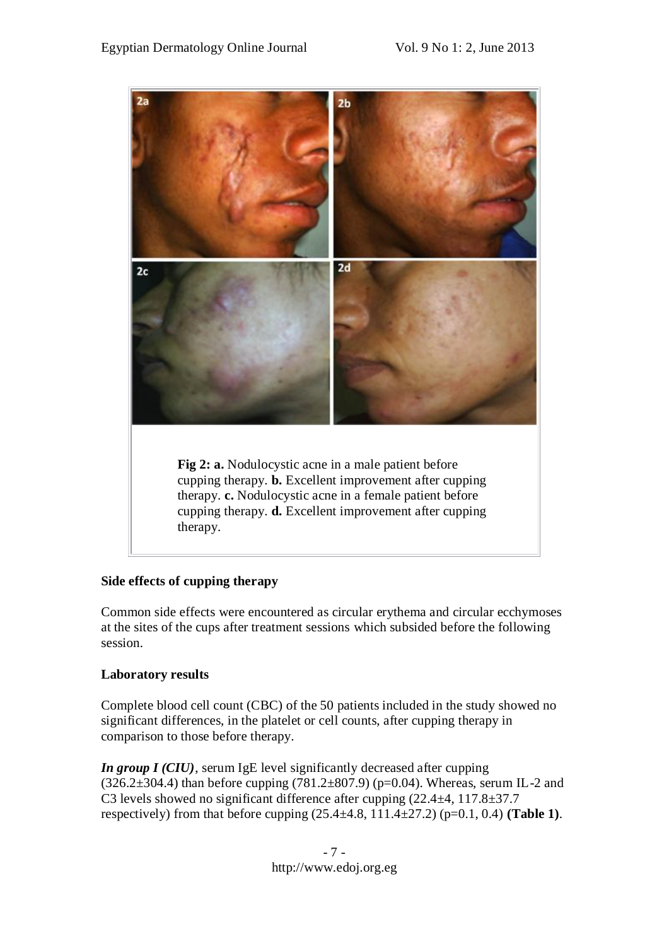

#### **Side effects of cupping therapy**

Common side effects were encountered as circular erythema and circular ecchymoses at the sites of the cups after treatment sessions which subsided before the following session.

#### **Laboratory results**

Complete blood cell count (CBC) of the 50 patients included in the study showed no significant differences, in the platelet or cell counts, after cupping therapy in comparison to those before therapy.

*In group I (CIU)*, serum IgE level significantly decreased after cupping  $(326.2\pm304.4)$  than before cupping  $(781.2\pm807.9)$  (p=0.04). Whereas, serum IL-2 and C3 levels showed no significant difference after cupping (22.4±4, 117.8±37.7 respectively) from that before cupping (25.4±4.8, 111.4±27.2) (p=0.1, 0.4) **(Table 1)**.

> - 7 http://www.edoj.org.eg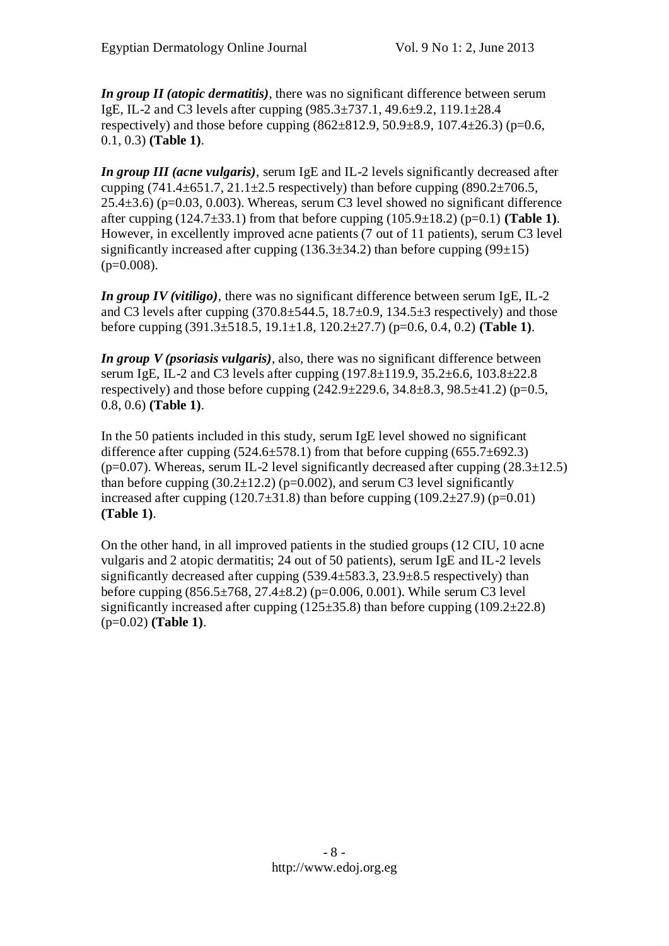*In group II (atopic dermatitis)*, there was no significant difference between serum IgE, IL-2 and C3 levels after cupping (985.3±737.1, 49.6±9.2, 119.1±28.4 respectively) and those before cupping  $(862 \pm 812.9, 50.9 \pm 8.9, 107.4 \pm 26.3)$  (p=0.6, 0.1, 0.3) **(Table 1)**.

*In group III (acne vulgaris)*, serum IgE and IL-2 levels significantly decreased after cupping  $(741.4 \pm 651.7, 21.1 \pm 2.5$  respectively) than before cupping  $(890.2 \pm 706.5,$  $25.4\pm3.6$ ) (p=0.03, 0.003). Whereas, serum C3 level showed no significant difference after cupping (124.7±33.1) from that before cupping (105.9±18.2) (p=0.1) **(Table 1)**. However, in excellently improved acne patients (7 out of 11 patients), serum C3 level significantly increased after cupping  $(136.3\pm34.2)$  than before cupping  $(99\pm15)$  $(p=0.008)$ .

*In group IV (vitiligo)*, there was no significant difference between serum IgE, IL-2 and C3 levels after cupping  $(370.8\pm544.5, 18.7\pm0.9, 134.5\pm3$  respectively) and those before cupping (391.3±518.5, 19.1±1.8, 120.2±27.7) (p=0.6, 0.4, 0.2) **(Table 1)**.

*In group V (psoriasis vulgaris)*, also, there was no significant difference between serum IgE, IL-2 and C3 levels after cupping (197.8±119.9, 35.2±6.6, 103.8±22.8 respectively) and those before cupping  $(242.9 \pm 229.6, 34.8 \pm 8.3, 98.5 \pm 41.2)$  (p=0.5, 0.8, 0.6) **(Table 1)**.

In the 50 patients included in this study, serum IgE level showed no significant difference after cupping  $(524.6 \pm 578.1)$  from that before cupping  $(655.7 \pm 692.3)$ ( $p=0.07$ ). Whereas, serum IL-2 level significantly decreased after cupping ( $28.3\pm12.5$ ) than before cupping  $(30.2 \pm 12.2)$  (p=0.002), and serum C3 level significantly increased after cupping (120.7 $\pm$ 31.8) than before cupping (109.2 $\pm$ 27.9) (p=0.01) **(Table 1)**.

On the other hand, in all improved patients in the studied groups (12 CIU, 10 acne vulgaris and 2 atopic dermatitis; 24 out of 50 patients), serum IgE and IL-2 levels significantly decreased after cupping  $(539.4 \pm 583.3, 23.9 \pm 8.5$  respectively) than before cupping (856.5±768, 27.4±8.2) (p=0.006, 0.001). While serum C3 level significantly increased after cupping  $(125\pm35.8)$  than before cupping  $(109.2\pm22.8)$ (p=0.02) **(Table 1)**.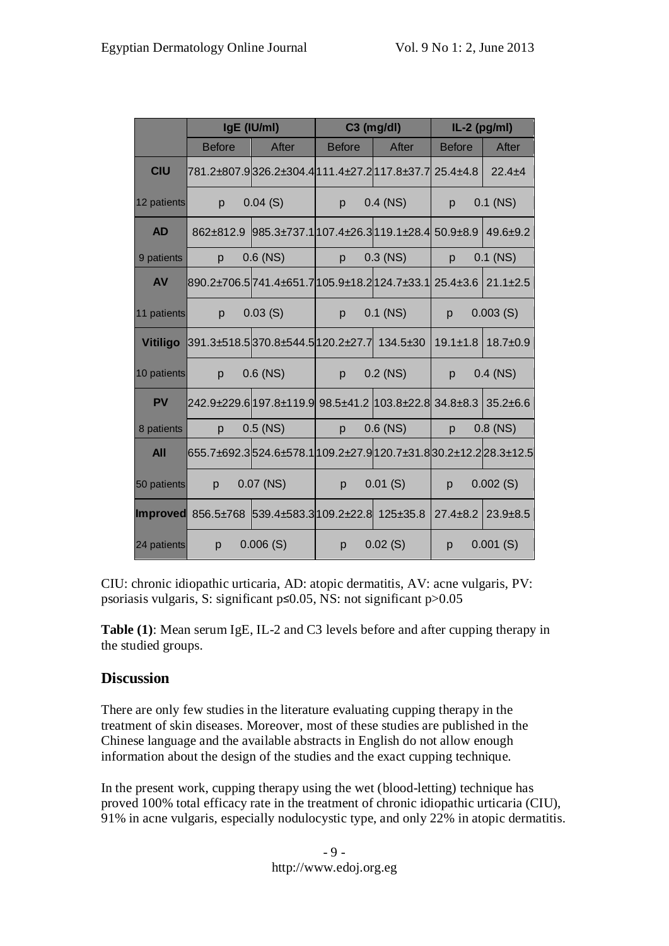|                 | IgE (IU/ml)                                                      |                                                          | $C3$ (mg/dl)  |            | $IL-2$ (pg/ml) |                |
|-----------------|------------------------------------------------------------------|----------------------------------------------------------|---------------|------------|----------------|----------------|
|                 | <b>Before</b>                                                    | After                                                    | <b>Before</b> | After      | <b>Before</b>  | After          |
| <b>CIU</b>      |                                                                  | 781.2±807.9326.2±304.4 111.4±27.2 117.8±37.7 25.4±4.8    |               |            |                | $22.4 + 4$     |
| 12 patients     | p                                                                | 0.04(S)                                                  | p             | $0.4$ (NS) | $\mathsf{D}$   | $0.1$ (NS)     |
| <b>AD</b>       | 862±812.9                                                        | $985.3\pm737.1 107.4\pm26.3 119.1\pm28.4 50.9\pm8.9$     |               |            |                | $49.6 + 9.2$   |
| 9 patients      | p                                                                | $0.6$ (NS)                                               | p             | $0.3$ (NS) | $\mathsf{D}$   | $0.1$ (NS)     |
| <b>AV</b>       |                                                                  | 890.2±706.5 741.4±651.7 105.9±18.2 124.7±33.1  25.4±3.6  |               |            |                | $21.1 \pm 2.5$ |
| 11 patients     | p                                                                | 0.03(S)                                                  | p             | $0.1$ (NS) | p              | 0.003(S)       |
| <b>Vitiligo</b> | 391.3±518.5370.8±544.5120.2±27.7 134.5±30                        |                                                          |               |            | $19.1 \pm 1.8$ | $18.7 + 0.9$   |
| 10 patients     | p                                                                | $0.6$ (NS)                                               | $\mathsf{D}$  | $0.2$ (NS) | p              | $0.4$ (NS)     |
| <b>PV</b>       |                                                                  | 242.9±229.6 197.8±119.9  98.5±41.2  103.8±22.8  34.8±8.3 |               |            |                | $35.2 + 6.6$   |
| 8 patients      | p                                                                | $0.5$ (NS)                                               | p             | $0.6$ (NS) | p              | $0.8$ (NS)     |
| <b>All</b>      | 655.7±692.3524.6±578.1 109.2±27.9 120.7±31.8 30.2±12.2 28.3±12.5 |                                                          |               |            |                |                |
| 50 patients     | p                                                                | $0.07$ (NS)                                              | p             | 0.01(S)    | p              | 0.002(S)       |
|                 | Improved 856.5±768 539.4±583.3 109.2±22.8 125±35.8               |                                                          |               |            | $27.4 \pm 8.2$ | $23.9 + 8.5$   |
| 24 patients     | p                                                                | 0.006(S)                                                 | p =           | 0.02(S)    | p              | 0.001(S)       |

CIU: chronic idiopathic urticaria, AD: atopic dermatitis, AV: acne vulgaris, PV: psoriasis vulgaris, S: significant p≤0.05, NS: not significant p>0.05

**Table (1)**: Mean serum IgE, IL-2 and C3 levels before and after cupping therapy in the studied groups.

# **Discussion**

There are only few studies in the literature evaluating cupping therapy in the treatment of skin diseases. Moreover, most of these studies are published in the Chinese language and the available abstracts in English do not allow enough information about the design of the studies and the exact cupping technique.

In the present work, cupping therapy using the wet (blood-letting) technique has proved 100% total efficacy rate in the treatment of chronic idiopathic urticaria (CIU), 91% in acne vulgaris, especially nodulocystic type, and only 22% in atopic dermatitis.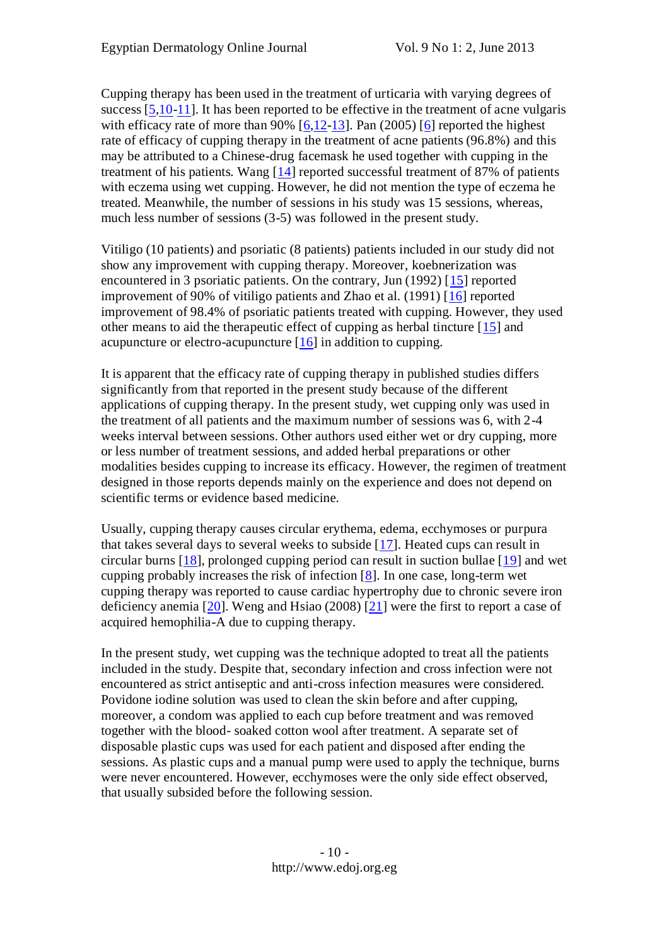Cupping therapy has been used in the treatment of urticaria with varying degrees of success [\[5,](file:///D:/Medical/edoj/vol009/0901/002/01.htm%235)[10](file:///D:/Medical/edoj/vol009/0901/002/01.htm%2310)[-11\]](file:///D:/Medical/edoj/vol009/0901/002/01.htm%2311). It has been reported to be effective in the treatment of acne vulgaris with efficacy rate of more than  $90\%$  [\[6](file:///D:/Medical/edoj/vol009/0901/002/01.htm%236)[,12-](file:///D:/Medical/edoj/vol009/0901/002/01.htm%2312)[13\]](file:///D:/Medical/edoj/vol009/0901/002/01.htm%2313). Pan (2005) [\[6\]](file:///D:/Medical/edoj/vol009/0901/002/01.htm%236) reported the highest rate of efficacy of cupping therapy in the treatment of acne patients (96.8%) and this may be attributed to a Chinese-drug facemask he used together with cupping in the treatment of his patients. Wang [\[14\]](file:///D:/Medical/edoj/vol009/0901/002/01.htm%2314) reported successful treatment of 87% of patients with eczema using wet cupping. However, he did not mention the type of eczema he treated. Meanwhile, the number of sessions in his study was 15 sessions, whereas, much less number of sessions (3-5) was followed in the present study.

Vitiligo (10 patients) and psoriatic (8 patients) patients included in our study did not show any improvement with cupping therapy. Moreover, koebnerization was encountered in 3 psoriatic patients. On the contrary, Jun (1992) [\[15\]](file:///D:/Medical/edoj/vol009/0901/002/01.htm%2315) reported improvement of 90% of vitiligo patients and Zhao et al. (1991) [\[16\]](file:///D:/Medical/edoj/vol009/0901/002/01.htm%2316) reported improvement of 98.4% of psoriatic patients treated with cupping. However, they used other means to aid the therapeutic effect of cupping as herbal tincture [\[15\]](file:///D:/Medical/edoj/vol009/0901/002/01.htm%2315) and acupuncture or electro-acupuncture [\[16\]](file:///D:/Medical/edoj/vol009/0901/002/01.htm%2316) in addition to cupping.

It is apparent that the efficacy rate of cupping therapy in published studies differs significantly from that reported in the present study because of the different applications of cupping therapy. In the present study, wet cupping only was used in the treatment of all patients and the maximum number of sessions was 6, with 2-4 weeks interval between sessions. Other authors used either wet or dry cupping, more or less number of treatment sessions, and added herbal preparations or other modalities besides cupping to increase its efficacy. However, the regimen of treatment designed in those reports depends mainly on the experience and does not depend on scientific terms or evidence based medicine.

Usually, cupping therapy causes circular erythema, edema, ecchymoses or purpura that takes several days to several weeks to subside [\[17\]](file:///D:/Medical/edoj/vol009/0901/002/01.htm%2317). Heated cups can result in circular burns [\[18\]](file:///D:/Medical/edoj/vol009/0901/002/01.htm%2318), prolonged cupping period can result in suction bullae [\[19\]](file:///D:/Medical/edoj/vol009/0901/002/01.htm%2319) and wet cupping probably increases the risk of infection [\[8\]](file:///D:/Medical/edoj/vol009/0901/002/01.htm%238). In one case, long-term wet cupping therapy was reported to cause cardiac hypertrophy due to chronic severe iron deficiency anemia [\[20\]](file:///D:/Medical/edoj/vol009/0901/002/01.htm%2320). Weng and Hsiao (2008) [\[21\]](file:///D:/Medical/edoj/vol009/0901/002/01.htm%2321) were the first to report a case of acquired hemophilia-A due to cupping therapy.

In the present study, wet cupping was the technique adopted to treat all the patients included in the study. Despite that, secondary infection and cross infection were not encountered as strict antiseptic and anti-cross infection measures were considered. Povidone iodine solution was used to clean the skin before and after cupping, moreover, a condom was applied to each cup before treatment and was removed together with the blood- soaked cotton wool after treatment. A separate set of disposable plastic cups was used for each patient and disposed after ending the sessions. As plastic cups and a manual pump were used to apply the technique, burns were never encountered. However, ecchymoses were the only side effect observed, that usually subsided before the following session.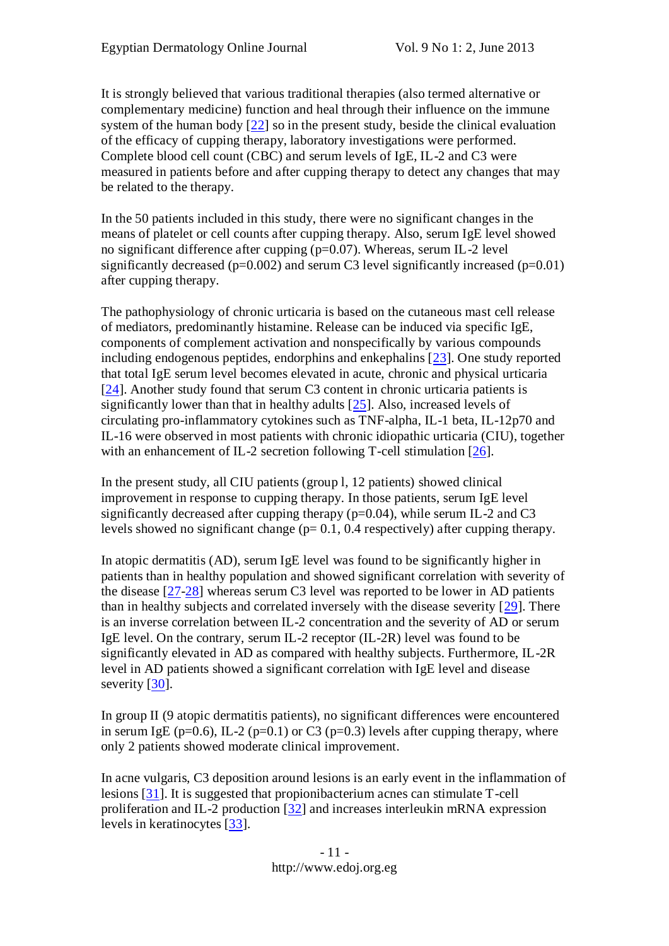It is strongly believed that various traditional therapies (also termed alternative or complementary medicine) function and heal through their influence on the immune system of the human body  $[22]$  so in the present study, beside the clinical evaluation of the efficacy of cupping therapy, laboratory investigations were performed. Complete blood cell count (CBC) and serum levels of IgE, IL-2 and C3 were measured in patients before and after cupping therapy to detect any changes that may be related to the therapy.

In the 50 patients included in this study, there were no significant changes in the means of platelet or cell counts after cupping therapy. Also, serum IgE level showed no significant difference after cupping  $(p=0.07)$ . Whereas, serum IL-2 level significantly decreased ( $p=0.002$ ) and serum C3 level significantly increased ( $p=0.01$ ) after cupping therapy.

The pathophysiology of chronic urticaria is based on the cutaneous mast cell release of mediators, predominantly histamine. Release can be induced via specific IgE, components of complement activation and nonspecifically by various compounds including endogenous peptides, endorphins and enkephalins [\[23\]](file:///D:/Medical/edoj/vol009/0901/002/01.htm%2323). One study reported that total IgE serum level becomes elevated in acute, chronic and physical urticaria [\[24\]](file:///D:/Medical/edoj/vol009/0901/002/01.htm%2324). Another study found that serum C3 content in chronic urticaria patients is significantly lower than that in healthy adults [\[25\]](file:///D:/Medical/edoj/vol009/0901/002/01.htm%2325). Also, increased levels of circulating pro-inflammatory cytokines such as TNF-alpha, IL-1 beta, IL-12p70 and IL-16 were observed in most patients with chronic idiopathic urticaria (CIU), together with an enhancement of IL-2 secretion following T-cell stimulation [\[26\]](file:///D:/Medical/edoj/vol009/0901/002/01.htm%2326).

In the present study, all CIU patients (group l, 12 patients) showed clinical improvement in response to cupping therapy. In those patients, serum IgE level significantly decreased after cupping therapy ( $p=0.04$ ), while serum IL-2 and C3 levels showed no significant change (p= 0.1, 0.4 respectively) after cupping therapy.

In atopic dermatitis (AD), serum IgE level was found to be significantly higher in patients than in healthy population and showed significant correlation with severity of the disease [\[27-](file:///D:/Medical/edoj/vol009/0901/002/01.htm%2327)[28\]](file:///D:/Medical/edoj/vol009/0901/002/01.htm%2328) whereas serum C3 level was reported to be lower in AD patients than in healthy subjects and correlated inversely with the disease severity [\[29\]](file:///D:/Medical/edoj/vol009/0901/002/01.htm%2329). There is an inverse correlation between IL-2 concentration and the severity of AD or serum IgE level. On the contrary, serum IL-2 receptor (IL-2R) level was found to be significantly elevated in AD as compared with healthy subjects. Furthermore, IL-2R level in AD patients showed a significant correlation with IgE level and disease severity [\[30\]](file:///D:/Medical/edoj/vol009/0901/002/01.htm%2330).

In group II (9 atopic dermatitis patients), no significant differences were encountered in serum IgE ( $p=0.6$ ), IL-2 ( $p=0.1$ ) or C3 ( $p=0.3$ ) levels after cupping therapy, where only 2 patients showed moderate clinical improvement.

In acne vulgaris, C3 deposition around lesions is an early event in the inflammation of lesions [\[31\]](file:///D:/Medical/edoj/vol009/0901/002/01.htm%2331). It is suggested that propionibacterium acnes can stimulate T-cell proliferation and IL-2 production [\[32\]](file:///D:/Medical/edoj/vol009/0901/002/01.htm%2332) and increases interleukin mRNA expression levels in keratinocytes [\[33\]](file:///D:/Medical/edoj/vol009/0901/002/01.htm%2333).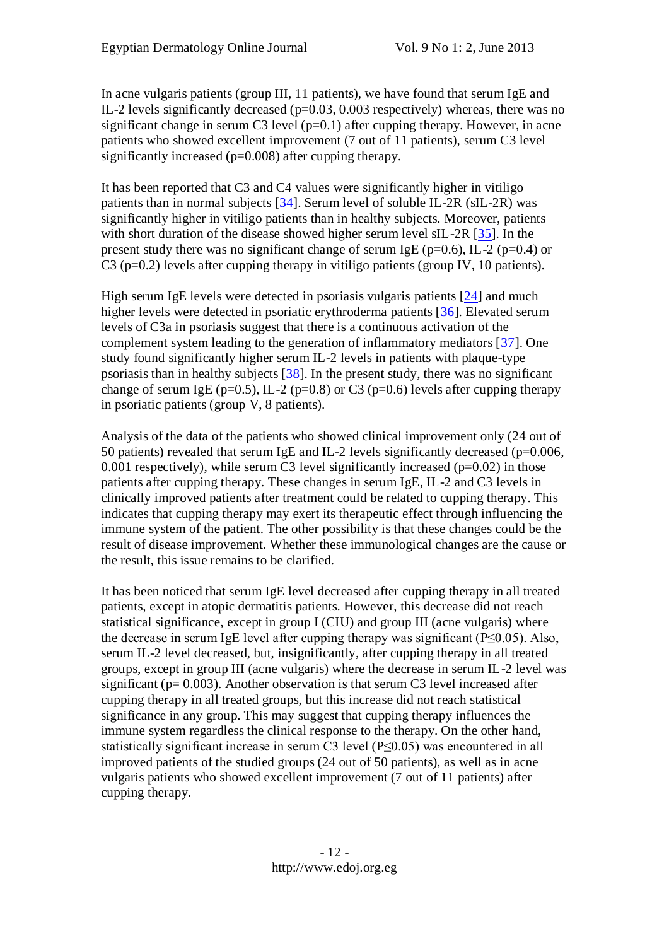In acne vulgaris patients (group III, 11 patients), we have found that serum IgE and IL-2 levels significantly decreased  $(p=0.03, 0.003$  respectively) whereas, there was no significant change in serum C3 level  $(p=0.1)$  after cupping therapy. However, in acne patients who showed excellent improvement (7 out of 11 patients), serum C3 level significantly increased (p=0.008) after cupping therapy.

It has been reported that C3 and C4 values were significantly higher in vitiligo patients than in normal subjects [\[34\]](file:///D:/Medical/edoj/vol009/0901/002/01.htm%2334). Serum level of soluble IL-2R (sIL-2R) was significantly higher in vitiligo patients than in healthy subjects. Moreover, patients with short duration of the disease showed higher serum level sIL-2R [\[35\]](file:///D:/Medical/edoj/vol009/0901/002/01.htm%2335). In the present study there was no significant change of serum IgE ( $p=0.6$ ), IL-2 ( $p=0.4$ ) or  $C_3$  (p=0.2) levels after cupping therapy in vitiligo patients (group IV, 10 patients).

High serum IgE levels were detected in psoriasis vulgaris patients [\[24\]](file:///D:/Medical/edoj/vol009/0901/002/01.htm%2324) and much higher levels were detected in psoriatic erythroderma patients [\[36\]](file:///D:/Medical/edoj/vol009/0901/002/01.htm%2336). Elevated serum levels of C3a in psoriasis suggest that there is a continuous activation of the complement system leading to the generation of inflammatory mediators [\[37\]](file:///D:/Medical/edoj/vol009/0901/002/01.htm%2337). One study found significantly higher serum IL-2 levels in patients with plaque-type psoriasis than in healthy subjects [\[38\]](file:///D:/Medical/edoj/vol009/0901/002/01.htm%2338). In the present study, there was no significant change of serum IgE (p=0.5), IL-2 (p=0.8) or C3 (p=0.6) levels after cupping therapy in psoriatic patients (group V, 8 patients).

Analysis of the data of the patients who showed clinical improvement only (24 out of 50 patients) revealed that serum IgE and IL-2 levels significantly decreased ( $p=0.006$ , 0.001 respectively), while serum C3 level significantly increased (p=0.02) in those patients after cupping therapy. These changes in serum IgE, IL-2 and C3 levels in clinically improved patients after treatment could be related to cupping therapy. This indicates that cupping therapy may exert its therapeutic effect through influencing the immune system of the patient. The other possibility is that these changes could be the result of disease improvement. Whether these immunological changes are the cause or the result, this issue remains to be clarified.

It has been noticed that serum IgE level decreased after cupping therapy in all treated patients, except in atopic dermatitis patients. However, this decrease did not reach statistical significance, except in group I (CIU) and group III (acne vulgaris) where the decrease in serum IgE level after cupping therapy was significant ( $P \le 0.05$ ). Also, serum IL-2 level decreased, but, insignificantly, after cupping therapy in all treated groups, except in group III (acne vulgaris) where the decrease in serum IL-2 level was significant ( $p= 0.003$ ). Another observation is that serum C3 level increased after cupping therapy in all treated groups, but this increase did not reach statistical significance in any group. This may suggest that cupping therapy influences the immune system regardless the clinical response to the therapy. On the other hand, statistically significant increase in serum C3 level (P≤0.05) was encountered in all improved patients of the studied groups (24 out of 50 patients), as well as in acne vulgaris patients who showed excellent improvement (7 out of 11 patients) after cupping therapy.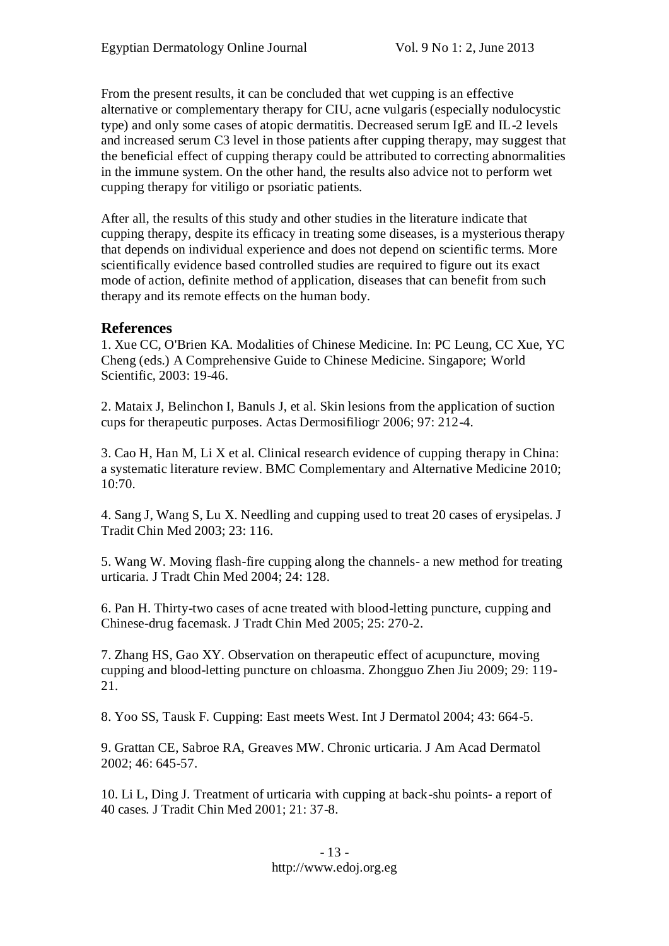From the present results, it can be concluded that wet cupping is an effective alternative or complementary therapy for CIU, acne vulgaris (especially nodulocystic type) and only some cases of atopic dermatitis. Decreased serum IgE and IL-2 levels and increased serum C3 level in those patients after cupping therapy, may suggest that the beneficial effect of cupping therapy could be attributed to correcting abnormalities in the immune system. On the other hand, the results also advice not to perform wet cupping therapy for vitiligo or psoriatic patients.

After all, the results of this study and other studies in the literature indicate that cupping therapy, despite its efficacy in treating some diseases, is a mysterious therapy that depends on individual experience and does not depend on scientific terms. More scientifically evidence based controlled studies are required to figure out its exact mode of action, definite method of application, diseases that can benefit from such therapy and its remote effects on the human body.

#### **References**

1. Xue CC, O'Brien KA. Modalities of Chinese Medicine. In: PC Leung, CC Xue, YC Cheng (eds.) A Comprehensive Guide to Chinese Medicine. Singapore; World Scientific, 2003: 19-46.

2. Mataix J, Belinchon I, Banuls J, et al. Skin lesions from the application of suction cups for therapeutic purposes. Actas Dermosifiliogr 2006; 97: 212-4.

3. Cao H, Han M, Li X et al. Clinical research evidence of cupping therapy in China: a systematic literature review. BMC Complementary and Alternative Medicine 2010; 10:70.

4. Sang J, Wang S, Lu X. Needling and cupping used to treat 20 cases of erysipelas. J Tradit Chin Med 2003; 23: 116.

5. Wang W. Moving flash-fire cupping along the channels- a new method for treating urticaria. J Tradt Chin Med 2004; 24: 128.

6. Pan H. Thirty-two cases of acne treated with blood-letting puncture, cupping and Chinese-drug facemask. J Tradt Chin Med 2005; 25: 270-2.

7. Zhang HS, Gao XY. Observation on therapeutic effect of acupuncture, moving cupping and blood-letting puncture on chloasma. Zhongguo Zhen Jiu 2009; 29: 119- 21.

8. Yoo SS, Tausk F. Cupping: East meets West. Int J Dermatol 2004; 43: 664-5.

9. Grattan CE, Sabroe RA, Greaves MW. Chronic urticaria. J Am Acad Dermatol 2002; 46: 645-57.

10. Li L, Ding J. Treatment of urticaria with cupping at back-shu points- a report of 40 cases. J Tradit Chin Med 2001; 21: 37-8.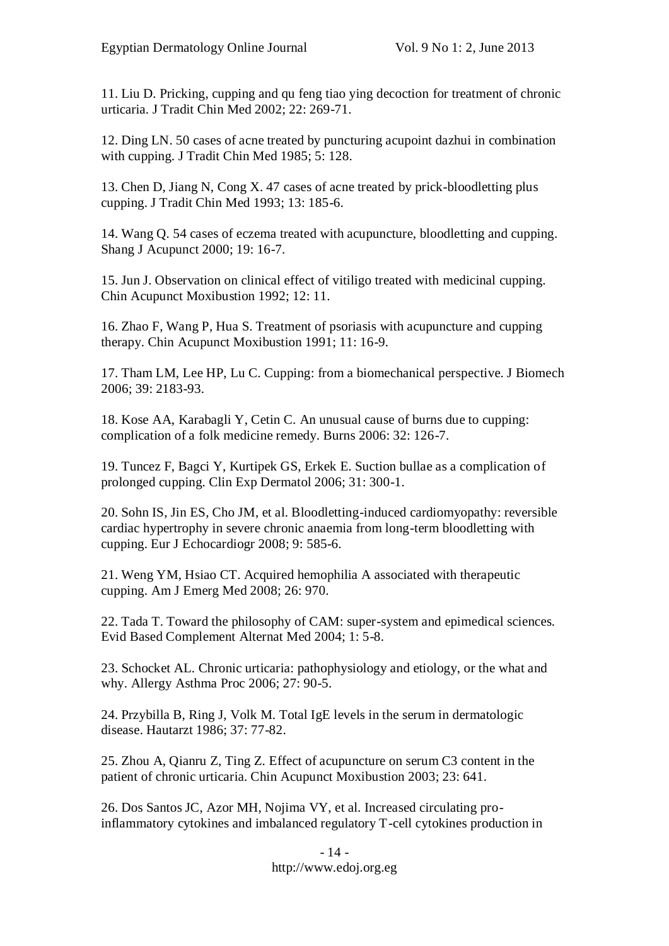11. Liu D. Pricking, cupping and qu feng tiao ying decoction for treatment of chronic urticaria. J Tradit Chin Med 2002; 22: 269-71.

12. Ding LN. 50 cases of acne treated by puncturing acupoint dazhui in combination with cupping. J Tradit Chin Med 1985; 5: 128.

13. Chen D, Jiang N, Cong X. 47 cases of acne treated by prick-bloodletting plus cupping. J Tradit Chin Med 1993; 13: 185-6.

14. Wang Q. 54 cases of eczema treated with acupuncture, bloodletting and cupping. Shang J Acupunct 2000; 19: 16-7.

15. Jun J. Observation on clinical effect of vitiligo treated with medicinal cupping. Chin Acupunct Moxibustion 1992; 12: 11.

16. Zhao F, Wang P, Hua S. Treatment of psoriasis with acupuncture and cupping therapy. Chin Acupunct Moxibustion 1991; 11: 16-9.

17. Tham LM, Lee HP, Lu C. Cupping: from a biomechanical perspective. J Biomech 2006; 39: 2183-93.

18. Kose AA, Karabagli Y, Cetin C. An unusual cause of burns due to cupping: complication of a folk medicine remedy. Burns 2006: 32: 126-7.

19. Tuncez F, Bagci Y, Kurtipek GS, Erkek E. Suction bullae as a complication of prolonged cupping. Clin Exp Dermatol 2006; 31: 300-1.

20. Sohn IS, Jin ES, Cho JM, et al. Bloodletting-induced cardiomyopathy: reversible cardiac hypertrophy in severe chronic anaemia from long-term bloodletting with cupping. Eur J Echocardiogr 2008; 9: 585-6.

21. Weng YM, Hsiao CT. Acquired hemophilia A associated with therapeutic cupping. Am J Emerg Med 2008; 26: 970.

22. Tada T. Toward the philosophy of CAM: super-system and epimedical sciences. Evid Based Complement Alternat Med 2004; 1: 5-8.

23. Schocket AL. Chronic urticaria: pathophysiology and etiology, or the what and why. Allergy Asthma Proc 2006; 27: 90-5.

24. Przybilla B, Ring J, Volk M. Total IgE levels in the serum in dermatologic disease. Hautarzt 1986; 37: 77-82.

25. Zhou A, Qianru Z, Ting Z. Effect of acupuncture on serum C3 content in the patient of chronic urticaria. Chin Acupunct Moxibustion 2003; 23: 641.

26. Dos Santos JC, Azor MH, Nojima VY, et al. Increased circulating proinflammatory cytokines and imbalanced regulatory T-cell cytokines production in

> - 14 http://www.edoj.org.eg